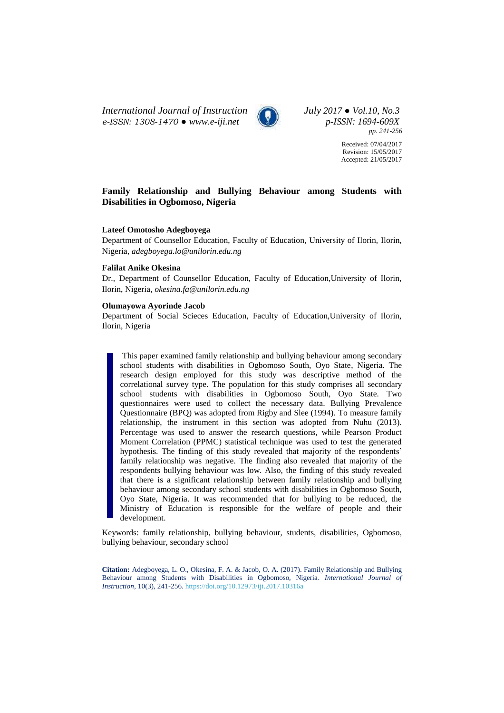*International Journal of Instruction July 2017 ● Vol.10, No.3 e-ISSN: 1308-1470 ● [www.e-iji.net](http://www.e-iji.net/) p-ISSN: 1694-609X*



*pp. 241-256*

Received: 07/04/2017 Revision: 15/05/2017 Accepted: 21/05/2017

# **Family Relationship and Bullying Behaviour among Students with Disabilities in Ogbomoso, Nigeria**

# **Lateef Omotosho Adegboyega**

Department of Counsellor Education, Faculty of Education, University of Ilorin, Ilorin, Nigeria, *[adegboyega.lo@unilorin.edu.ng](mailto:adegboyega.lo@unilorin.edu.ng)*

# **Falilat Anike Okesina**

Dr., Department of Counsellor Education, Faculty of Education,University of Ilorin, Ilorin, Nigeria, *[okesina.fa@unilorin.edu.ng](mailto:okesina.fa@unilorin.edu.ng)*

# **Olumayowa Ayorinde Jacob**

Department of Social Scieces Education, Faculty of Education,University of Ilorin, Ilorin, Nigeria

This paper examined family relationship and bullying behaviour among secondary school students with disabilities in Ogbomoso South, Oyo State, Nigeria. The research design employed for this study was descriptive method of the correlational survey type. The population for this study comprises all secondary school students with disabilities in Ogbomoso South, Oyo State. Two questionnaires were used to collect the necessary data. Bullying Prevalence Questionnaire (BPQ) was adopted from Rigby and Slee (1994). To measure family relationship, the instrument in this section was adopted from Nuhu (2013). Percentage was used to answer the research questions, while Pearson Product Moment Correlation (PPMC) statistical technique was used to test the generated hypothesis. The finding of this study revealed that majority of the respondents' family relationship was negative. The finding also revealed that majority of the respondents bullying behaviour was low. Also, the finding of this study revealed that there is a significant relationship between family relationship and bullying behaviour among secondary school students with disabilities in Ogbomoso South, Oyo State, Nigeria. It was recommended that for bullying to be reduced, the Ministry of Education is responsible for the welfare of people and their development.

Keywords: family relationship, bullying behaviour, students, disabilities, Ogbomoso, bullying behaviour, secondary school

**Citation:** Adegboyega, L. O., Okesina, F. A. & Jacob, O. A. (2017). Family Relationship and Bullying Behaviour among Students with Disabilities in Ogbomoso, Nigeria. *International Journal of Instruction*, 10(3), 241-256. <https://doi.org/10.12973/iji.2017.10316a>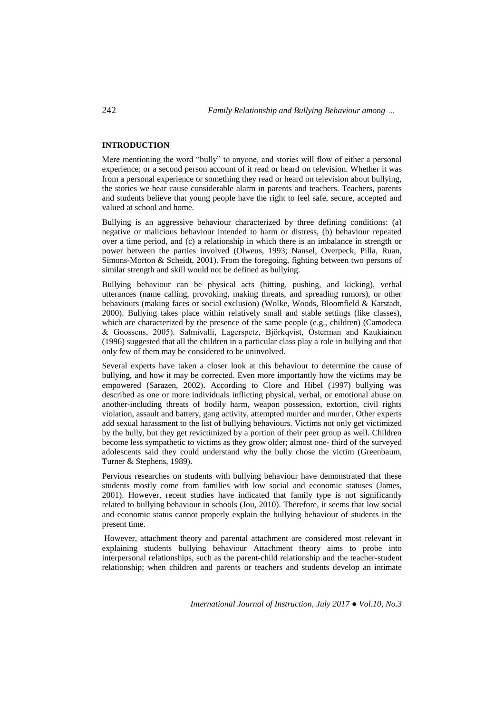# **INTRODUCTION**

Mere mentioning the word "bully" to anyone, and stories will flow of either a personal experience; or a second person account of it read or heard on television. Whether it was from a personal experience or something they read or heard on television about bullying, the stories we hear cause considerable alarm in parents and teachers. Teachers, parents and students believe that young people have the right to feel safe, secure, accepted and valued at school and home.

Bullying is an aggressive behaviour characterized by three defining conditions: (a) negative or malicious behaviour intended to harm or distress, (b) behaviour repeated over a time period, and (c) a relationship in which there is an imbalance in strength or power between the parties involved (Olweus, 1993; Nansel, Overpeck, Pilla, Ruan, Simons-Morton & Scheidt, 2001). From the foregoing, fighting between two persons of similar strength and skill would not be defined as bullying.

Bullying behaviour can be physical acts (hitting, pushing, and kicking), verbal utterances (name calling, provoking, making threats, and spreading rumors), or other behaviours (making faces or social exclusion) (Wolke, Woods, Bloomfield & Karstadt, 2000). Bullying takes place within relatively small and stable settings (like classes), which are characterized by the presence of the same people (e.g., children) (Camodeca & Goossens, 2005). Salmivalli, Lagerspetz, Björkqvist, Österman and Kaukiainen (1996) suggested that all the children in a particular class play a role in bullying and that only few of them may be considered to be uninvolved.

Several experts have taken a closer look at this behaviour to determine the cause of bullying, and how it may be corrected. Even more importantly how the victims may be empowered (Sarazen, 2002). According to Clore and Hibel (1997) bullying was described as one or more individuals inflicting physical, verbal, or emotional abuse on another-including threats of bodily harm, weapon possession, extortion, civil rights violation, assault and battery, gang activity, attempted murder and murder. Other experts add sexual harassment to the list of bullying behaviours. Victims not only get victimized by the bully, but they get revictimized by a portion of their peer group as well. Children become less sympathetic to victims as they grow older; almost one- third of the surveyed adolescents said they could understand why the bully chose the victim (Greenbaum, Turner & Stephens, 1989).

Pervious researches on students with bullying behaviour have demonstrated that these students mostly come from families with low social and economic statuses (James, 2001). However, recent studies have indicated that family type is not significantly related to bullying behaviour in schools (Jou, 2010). Therefore, it seems that low social and economic status cannot properly explain the bullying behaviour of students in the present time.

However, attachment theory and parental attachment are considered most relevant in explaining students bullying behaviour Attachment theory aims to probe into interpersonal relationships, such as the parent-child relationship and the teacher-student relationship; when children and parents or teachers and students develop an intimate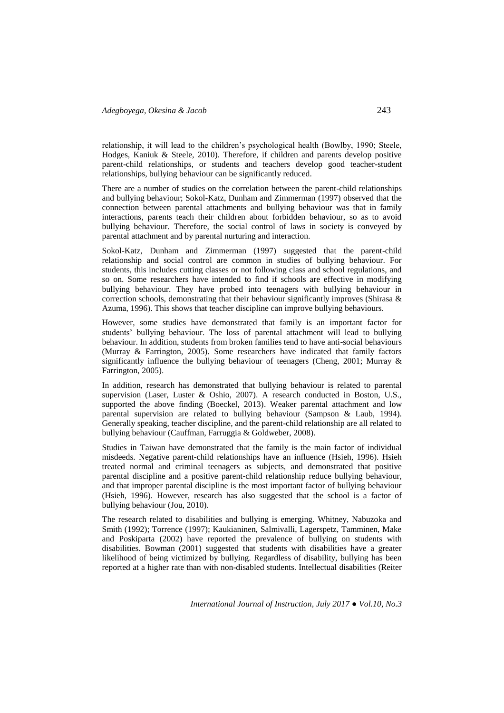relationship, it will lead to the children's psychological health (Bowlby, 1990; Steele, Hodges, Kaniuk & Steele, 2010). Therefore, if children and parents develop positive parent-child relationships, or students and teachers develop good teacher-student relationships, bullying behaviour can be significantly reduced.

There are a number of studies on the correlation between the parent-child relationships and bullying behaviour; Sokol-Katz, Dunham and Zimmerman (1997) observed that the connection between parental attachments and bullying behaviour was that in family interactions, parents teach their children about forbidden behaviour, so as to avoid bullying behaviour. Therefore, the social control of laws in society is conveyed by parental attachment and by parental nurturing and interaction.

Sokol-Katz, Dunham and Zimmerman (1997) suggested that the parent-child relationship and social control are common in studies of bullying behaviour. For students, this includes cutting classes or not following class and school regulations, and so on. Some researchers have intended to find if schools are effective in modifying bullying behaviour. They have probed into teenagers with bullying behaviour in correction schools, demonstrating that their behaviour significantly improves (Shirasa  $\&$ Azuma, 1996). This shows that teacher discipline can improve bullying behaviours.

However, some studies have demonstrated that family is an important factor for students' bullying behaviour. The loss of parental attachment will lead to bullying behaviour. In addition, students from broken families tend to have anti-social behaviours (Murray & Farrington, 2005). Some researchers have indicated that family factors significantly influence the bullying behaviour of teenagers (Cheng, 2001; Murray  $\&$ Farrington, 2005).

In addition, research has demonstrated that bullying behaviour is related to parental supervision (Laser, Luster & Oshio, 2007). A research conducted in Boston, U.S., supported the above finding (Boeckel, 2013). Weaker parental attachment and low parental supervision are related to bullying behaviour (Sampson & Laub, 1994). Generally speaking, teacher discipline, and the parent-child relationship are all related to bullying behaviour (Cauffman, Farruggia & Goldweber, 2008).

Studies in Taiwan have demonstrated that the family is the main factor of individual misdeeds. Negative parent-child relationships have an influence (Hsieh, 1996). Hsieh treated normal and criminal teenagers as subjects, and demonstrated that positive parental discipline and a positive parent-child relationship reduce bullying behaviour, and that improper parental discipline is the most important factor of bullying behaviour (Hsieh, 1996). However, research has also suggested that the school is a factor of bullying behaviour (Jou, 2010).

The research related to disabilities and bullying is emerging. Whitney, Nabuzoka and Smith (1992); Torrence (1997); Kaukianinen, Salmivalli, Lagerspetz, Tamminen, Make and Poskiparta (2002) have reported the prevalence of bullying on students with disabilities. Bowman (2001) suggested that students with disabilities have a greater likelihood of being victimized by bullying. Regardless of disability, bullying has been reported at a higher rate than with non-disabled students. Intellectual disabilities (Reiter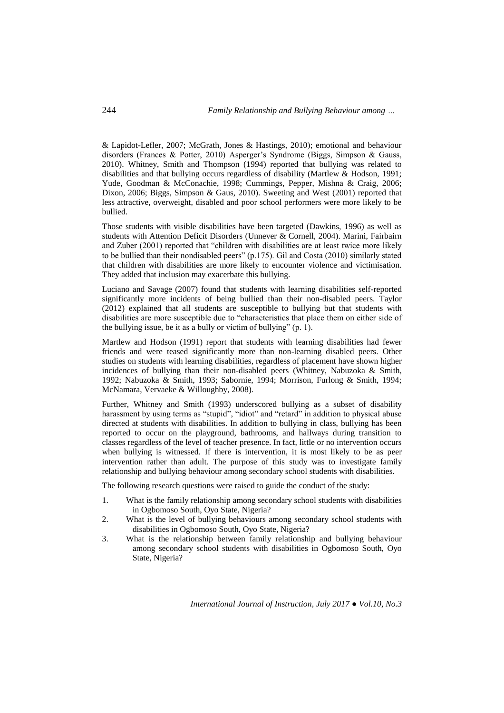& Lapidot-Lefler, 2007; McGrath, Jones & Hastings, 2010); emotional and behaviour disorders (Frances & Potter, 2010) Asperger's Syndrome (Biggs, Simpson & Gauss, 2010). Whitney, Smith and Thompson (1994) reported that bullying was related to disabilities and that bullying occurs regardless of disability (Martlew & Hodson, 1991; Yude, Goodman & McConachie, 1998; Cummings, Pepper, Mishna & Craig, 2006; Dixon, 2006; Biggs, Simpson & Gaus, 2010). Sweeting and West (2001) reported that less attractive, overweight, disabled and poor school performers were more likely to be bullied.

Those students with visible disabilities have been targeted (Dawkins, 1996) as well as students with Attention Deficit Disorders (Unnever & Cornell, 2004). Marini, Fairbairn and Zuber (2001) reported that "children with disabilities are at least twice more likely to be bullied than their nondisabled peers" (p.175). Gil and Costa (2010) similarly stated that children with disabilities are more likely to encounter violence and victimisation. They added that inclusion may exacerbate this bullying.

Luciano and Savage (2007) found that students with learning disabilities self-reported significantly more incidents of being bullied than their non-disabled peers. Taylor (2012) explained that all students are susceptible to bullying but that students with disabilities are more susceptible due to "characteristics that place them on either side of the bullying issue, be it as a bully or victim of bullying" (p. 1).

Martlew and Hodson (1991) report that students with learning disabilities had fewer friends and were teased significantly more than non-learning disabled peers. Other studies on students with learning disabilities, regardless of placement have shown higher incidences of bullying than their non-disabled peers (Whitney, Nabuzoka & Smith, 1992; Nabuzoka & Smith, 1993; Sabornie, 1994; Morrison, Furlong & Smith, 1994; McNamara, Vervaeke & Willoughby, 2008).

Further, Whitney and Smith (1993) underscored bullying as a subset of disability harassment by using terms as "stupid", "idiot" and "retard" in addition to physical abuse directed at students with disabilities. In addition to bullying in class, bullying has been reported to occur on the playground, bathrooms, and hallways during transition to classes regardless of the level of teacher presence. In fact, little or no intervention occurs when bullying is witnessed. If there is intervention, it is most likely to be as peer intervention rather than adult. The purpose of this study was to investigate family relationship and bullying behaviour among secondary school students with disabilities.

The following research questions were raised to guide the conduct of the study:

- 1. What is the family relationship among secondary school students with disabilities in Ogbomoso South, Oyo State, Nigeria?
- 2. What is the level of bullying behaviours among secondary school students with disabilities in Ogbomoso South, Oyo State, Nigeria?
- 3. What is the relationship between family relationship and bullying behaviour among secondary school students with disabilities in Ogbomoso South, Oyo State, Nigeria?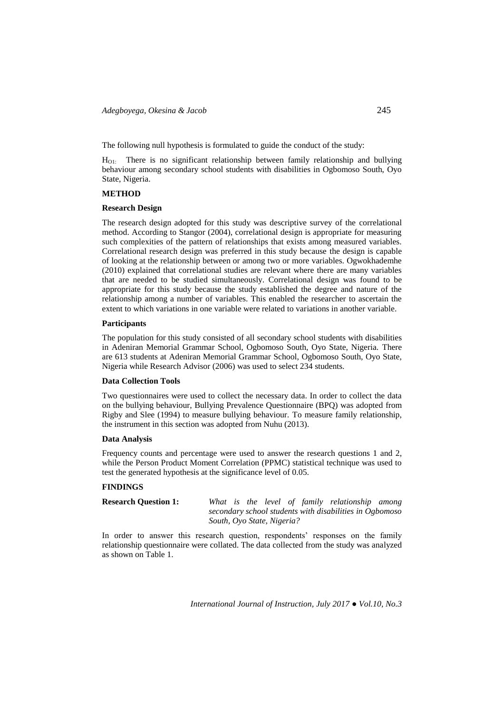The following null hypothesis is formulated to guide the conduct of the study:

HO1: There is no significant relationship between family relationship and bullying behaviour among secondary school students with disabilities in Ogbomoso South, Oyo State, Nigeria.

# **METHOD**

# **Research Design**

The research design adopted for this study was descriptive survey of the correlational method. According to Stangor (2004), correlational design is appropriate for measuring such complexities of the pattern of relationships that exists among measured variables. Correlational research design was preferred in this study because the design is capable of looking at the relationship between or among two or more variables. Ogwokhademhe (2010) explained that correlational studies are relevant where there are many variables that are needed to be studied simultaneously. Correlational design was found to be appropriate for this study because the study established the degree and nature of the relationship among a number of variables. This enabled the researcher to ascertain the extent to which variations in one variable were related to variations in another variable.

# **Participants**

The population for this study consisted of all secondary school students with disabilities in Adeniran Memorial Grammar School, Ogbomoso South, Oyo State, Nigeria. There are 613 students at Adeniran Memorial Grammar School, Ogbomoso South, Oyo State, Nigeria while Research Advisor (2006) was used to select 234 students.

# **Data Collection Tools**

Two questionnaires were used to collect the necessary data. In order to collect the data on the bullying behaviour, Bullying Prevalence Questionnaire (BPQ) was adopted from Rigby and Slee (1994) to measure bullying behaviour. To measure family relationship, the instrument in this section was adopted from Nuhu (2013).

## **Data Analysis**

Frequency counts and percentage were used to answer the research questions 1 and 2, while the Person Product Moment Correlation (PPMC) statistical technique was used to test the generated hypothesis at the significance level of 0.05.

# **FINDINGS**

**Research Question 1:** *What is the level of family relationship among secondary school students with disabilities in Ogbomoso South, Oyo State, Nigeria?*

In order to answer this research question, respondents' responses on the family relationship questionnaire were collated. The data collected from the study was analyzed as shown on Table 1.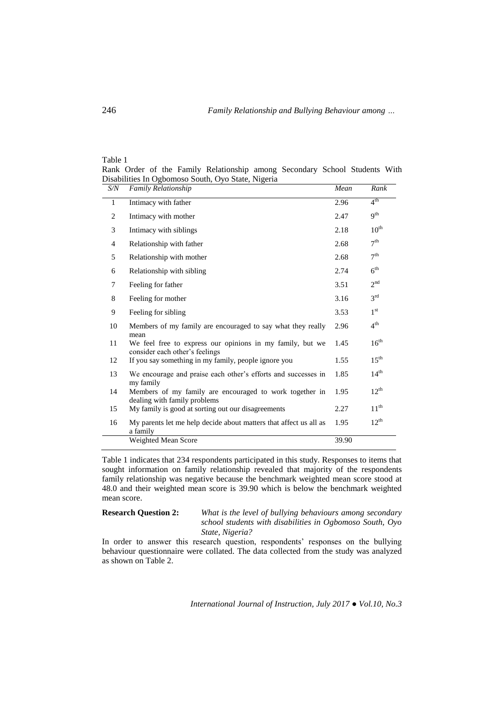| ٠ |  |
|---|--|
|---|--|

|  |  | Rank Order of the Family Relationship among Secondary School Students With |  |  |  |
|--|--|----------------------------------------------------------------------------|--|--|--|
|  |  | Disabilities In Ogbomoso South, Oyo State, Nigeria                         |  |  |  |

| S/N            | <b>Family Relationship</b>                                                                  | Mean  | Rank             |
|----------------|---------------------------------------------------------------------------------------------|-------|------------------|
| $\mathbf{1}$   | Intimacy with father                                                                        | 2.96  | $4^{\text{th}}$  |
| 2              | Intimacy with mother                                                                        | 2.47  | 9 <sup>th</sup>  |
| 3              | Intimacy with siblings                                                                      | 2.18  | $10^{\text{th}}$ |
| $\overline{4}$ | Relationship with father                                                                    | 2.68  | 7 <sup>th</sup>  |
| 5              | Relationship with mother                                                                    | 2.68  | 7 <sup>th</sup>  |
| 6              | Relationship with sibling                                                                   | 2.74  | $6^{\text{th}}$  |
| 7              | Feeling for father                                                                          | 3.51  | 2 <sup>nd</sup>  |
| 8              | Feeling for mother                                                                          | 3.16  | 3 <sup>rd</sup>  |
| 9              | Feeling for sibling                                                                         | 3.53  | 1 <sup>st</sup>  |
| 10             | Members of my family are encouraged to say what they really<br>mean                         | 2.96  | 4 <sup>th</sup>  |
| 11             | We feel free to express our opinions in my family, but we<br>consider each other's feelings | 1.45  | $16^{\text{th}}$ |
| 12             | If you say something in my family, people ignore you                                        | 1.55  | $15^{\text{th}}$ |
| 13             | We encourage and praise each other's efforts and successes in<br>my family                  | 1.85  | 14 <sup>th</sup> |
| 14             | Members of my family are encouraged to work together in<br>dealing with family problems     | 1.95  | $12^{th}$        |
| 15             | My family is good at sorting out our disagreements                                          | 2.27  | $11^{th}$        |
| 16             | My parents let me help decide about matters that affect us all as<br>a family               | 1.95  | $12^{th}$        |
|                | Weighted Mean Score                                                                         | 39.90 |                  |

Table 1 indicates that 234 respondents participated in this study. Responses to items that sought information on family relationship revealed that majority of the respondents family relationship was negative because the benchmark weighted mean score stood at 48.0 and their weighted mean score is 39.90 which is below the benchmark weighted mean score.

**Research Question 2:** *What is the level of bullying behaviours among secondary school students with disabilities in Ogbomoso South, Oyo State, Nigeria?*

In order to answer this research question, respondents' responses on the bullying behaviour questionnaire were collated. The data collected from the study was analyzed as shown on Table 2.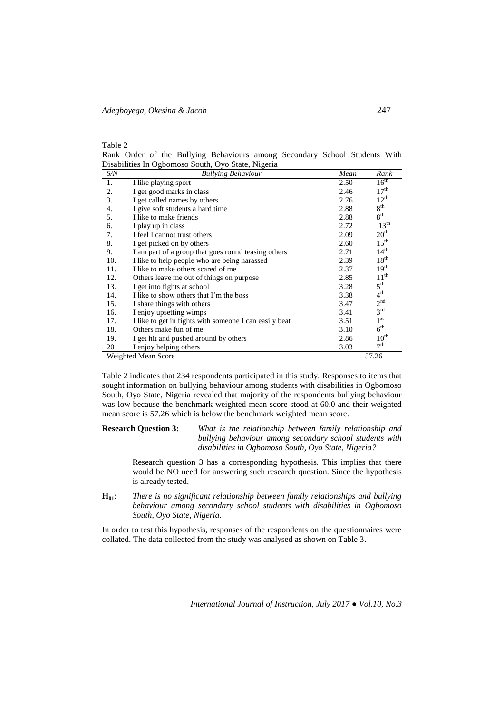Table 2

Rank Order of the Bullying Behaviours among Secondary School Students With Disabilities In Ogbomoso South, Oyo State, Nigeria

| S/N                 | <b>Bullying Behaviour</b>                              | Mean | Rank             |
|---------------------|--------------------------------------------------------|------|------------------|
| 1.                  | I like playing sport                                   | 2.50 | 16 <sup>th</sup> |
| 2.                  | I get good marks in class                              | 2.46 | 17 <sup>th</sup> |
| 3.                  | I get called names by others                           | 2.76 | $12^{th}$        |
| 4.                  | I give soft students a hard time                       | 2.88 | 8 <sup>th</sup>  |
| 5.                  | I like to make friends                                 | 2.88 | 8 <sup>th</sup>  |
| 6.                  | I play up in class                                     | 2.72 | $13^{\text{th}}$ |
| 7.                  | I feel I cannot trust others                           | 2.09 | 20 <sup>th</sup> |
| 8.                  | I get picked on by others                              | 2.60 | $15^{\text{th}}$ |
| 9.                  | I am part of a group that goes round teasing others    | 2.71 | 14 <sup>th</sup> |
| 10.                 | I like to help people who are being harassed           | 2.39 | $18^{th}$        |
| 11.                 | I like to make others scared of me                     | 2.37 | 19 <sup>th</sup> |
| 12.                 | Others leave me out of things on purpose               | 2.85 | $11^{th}$        |
| 13.                 | I get into fights at school                            | 3.28 | 5 <sup>th</sup>  |
| 14.                 | I like to show others that I'm the boss                | 3.38 | 4 <sup>th</sup>  |
| 15.                 | I share things with others                             | 3.47 | 2 <sup>nd</sup>  |
| 16.                 | I enjoy upsetting wimps                                | 3.41 | $3^{\text{rd}}$  |
| 17.                 | I like to get in fights with someone I can easily beat | 3.51 | 1 <sup>st</sup>  |
| 18.                 | Others make fun of me                                  | 3.10 | 6 <sup>th</sup>  |
| 19.                 | I get hit and pushed around by others                  | 2.86 | $10^{\text{th}}$ |
| 20                  | I enjoy helping others                                 | 3.03 | 7 <sup>th</sup>  |
| Weighted Mean Score |                                                        |      | 57.26            |

Table 2 indicates that 234 respondents participated in this study. Responses to items that sought information on bullying behaviour among students with disabilities in Ogbomoso South, Oyo State, Nigeria revealed that majority of the respondents bullying behaviour was low because the benchmark weighted mean score stood at 60.0 and their weighted mean score is 57.26 which is below the benchmark weighted mean score.

**Research Question 3:** *What is the relationship between family relationship and bullying behaviour among secondary school students with disabilities in Ogbomoso South, Oyo State, Nigeria?*

> Research question 3 has a corresponding hypothesis. This implies that there would be NO need for answering such research question. Since the hypothesis is already tested.

**H01**: *There is no significant relationship between family relationships and bullying behaviour among secondary school students with disabilities in Ogbomoso South, Oyo State, Nigeria.*

In order to test this hypothesis, responses of the respondents on the questionnaires were collated. The data collected from the study was analysed as shown on Table 3.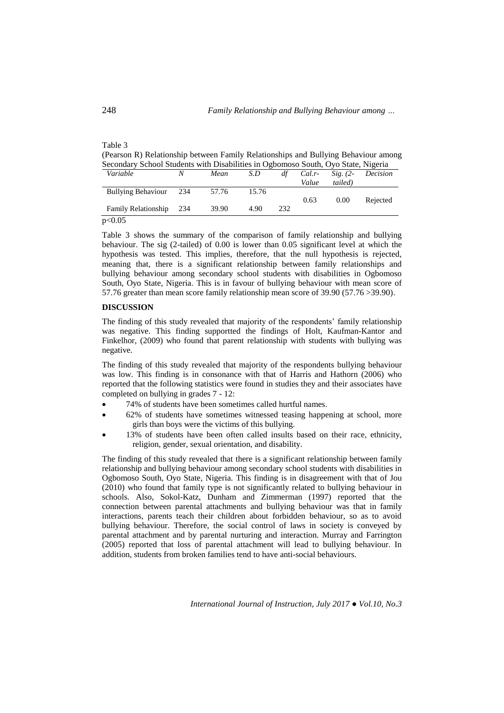# Table 3

(Pearson R) Relationship between Family Relationships and Bullying Behaviour among Secondary School Students with Disabilities in Ogbomoso South, Oyo State, Nigeria

| Variable                   | N     | Mean  | S.D   | df  | $Cal.r-$ | $Sig. (2-)$ | Decision |
|----------------------------|-------|-------|-------|-----|----------|-------------|----------|
|                            |       |       |       |     | Value    | tailed)     |          |
| <b>Bullying Behaviour</b>  | 234   | 57.76 | 15.76 |     |          |             |          |
|                            |       |       |       |     | 0.63     | 0.00        | Rejected |
| <b>Family Relationship</b> | - 234 | 39.90 | 4.90  | 232 |          |             |          |
| $\sim$ $\sim$ $\sim$       |       |       |       |     |          |             |          |

p<0.05

Table 3 shows the summary of the comparison of family relationship and bullying behaviour. The sig (2-tailed) of 0.00 is lower than 0.05 significant level at which the hypothesis was tested. This implies, therefore, that the null hypothesis is rejected, meaning that, there is a significant relationship between family relationships and bullying behaviour among secondary school students with disabilities in Ogbomoso South, Oyo State, Nigeria. This is in favour of bullying behaviour with mean score of 57.76 greater than mean score family relationship mean score of 39.90 (57.76 >39.90).

# **DISCUSSION**

The finding of this study revealed that majority of the respondents' family relationship was negative. This finding supportted the findings of Holt, Kaufman-Kantor and Finkelhor, (2009) who found that parent relationship with students with bullying was negative.

The finding of this study revealed that majority of the respondents bullying behaviour was low. This finding is in consonance with that of Harris and Hathorn (2006) who reported that the following statistics were found in studies they and their associates have completed on bullying in grades 7 - 12:

- 74% of students have been sometimes called hurtful names.
- 62% of students have sometimes witnessed teasing happening at school, more girls than boys were the victims of this bullying.
- 13% of students have been often called insults based on their race, ethnicity, religion, gender, sexual orientation, and disability.

The finding of this study revealed that there is a significant relationship between family relationship and bullying behaviour among secondary school students with disabilities in Ogbomoso South, Oyo State, Nigeria. This finding is in disagreement with that of Jou (2010) who found that family type is not significantly related to bullying behaviour in schools. Also, Sokol-Katz, Dunham and Zimmerman (1997) reported that the connection between parental attachments and bullying behaviour was that in family interactions, parents teach their children about forbidden behaviour, so as to avoid bullying behaviour. Therefore, the social control of laws in society is conveyed by parental attachment and by parental nurturing and interaction. Murray and Farrington (2005) reported that loss of parental attachment will lead to bullying behaviour. In addition, students from broken families tend to have anti-social behaviours.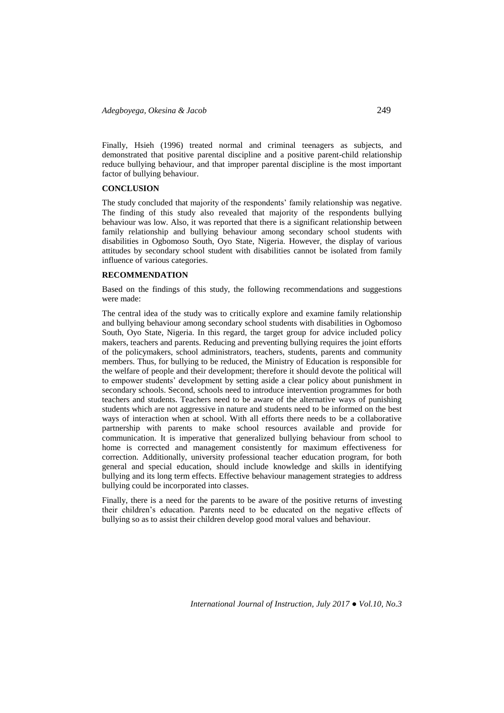Finally, Hsieh (1996) treated normal and criminal teenagers as subjects, and demonstrated that positive parental discipline and a positive parent-child relationship reduce bullying behaviour, and that improper parental discipline is the most important factor of bullying behaviour.

## **CONCLUSION**

The study concluded that majority of the respondents' family relationship was negative. The finding of this study also revealed that majority of the respondents bullying behaviour was low. Also, it was reported that there is a significant relationship between family relationship and bullying behaviour among secondary school students with disabilities in Ogbomoso South, Oyo State, Nigeria. However, the display of various attitudes by secondary school student with disabilities cannot be isolated from family influence of various categories.

# **RECOMMENDATION**

Based on the findings of this study, the following recommendations and suggestions were made:

The central idea of the study was to critically explore and examine family relationship and bullying behaviour among secondary school students with disabilities in Ogbomoso South, Oyo State, Nigeria. In this regard, the target group for advice included policy makers, teachers and parents. Reducing and preventing bullying requires the joint efforts of the policymakers, school administrators, teachers, students, parents and community members. Thus, for bullying to be reduced, the Ministry of Education is responsible for the welfare of people and their development; therefore it should devote the political will to empower students' development by setting aside a clear policy about punishment in secondary schools. Second, schools need to introduce intervention programmes for both teachers and students. Teachers need to be aware of the alternative ways of punishing students which are not aggressive in nature and students need to be informed on the best ways of interaction when at school. With all efforts there needs to be a collaborative partnership with parents to make school resources available and provide for communication. It is imperative that generalized bullying behaviour from school to home is corrected and management consistently for maximum effectiveness for correction. Additionally, university professional teacher education program, for both general and special education, should include knowledge and skills in identifying bullying and its long term effects. Effective behaviour management strategies to address bullying could be incorporated into classes.

Finally, there is a need for the parents to be aware of the positive returns of investing their children's education. Parents need to be educated on the negative effects of bullying so as to assist their children develop good moral values and behaviour.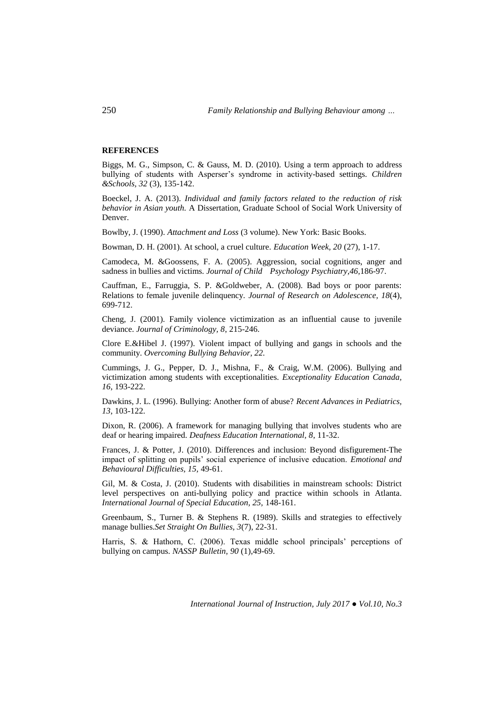# **REFERENCES**

Biggs, M. G., Simpson, C. & Gauss, M. D. (2010). Using a term approach to address bullying of students with Asperser's syndrome in activity-based settings. *Children &Schools, 32* (3), 135-142.

Boeckel, J. A. (2013). *Individual and family factors related to the reduction of risk behavior in Asian youth.* A Dissertation, Graduate School of Social Work University of Denver.

Bowlby, J. (1990). *Attachment and Loss* (3 volume). New York: Basic Books.

Bowman, D. H. (2001). At school, a cruel culture. *Education Week, 20* (27), 1-17.

Camodeca, M. &Goossens, F. A. (2005). Aggression, social cognitions, anger and sadness in bullies and victims. *Journal of Child Psychology Psychiatry,46,*186-97.

Cauffman, E., Farruggia, S. P. &Goldweber, A. (2008). Bad boys or poor parents: Relations to female juvenile delinquency. *Journal of Research on Adolescence, 18*(4), 699-712.

Cheng, J. (2001). Family violence victimization as an influential cause to juvenile deviance. *Journal of Criminology, 8*, 215-246.

Clore E.&Hibel J. (1997). Violent impact of bullying and gangs in schools and the community. *Overcoming Bullying Behavior, 22.*

Cummings, J. G., Pepper, D. J., Mishna, F., & Craig, W.M. (2006). Bullying and victimization among students with exceptionalities. *Exceptionality Education Canada, 16*, 193-222.

Dawkins, J. L. (1996). Bullying: Another form of abuse? *Recent Advances in Pediatrics, 13*, 103-122.

Dixon, R. (2006). A framework for managing bullying that involves students who are deaf or hearing impaired*. Deafness Education International, 8*, 11-32.

Frances, J. & Potter, J. (2010). Differences and inclusion: Beyond disfigurement-The impact of splitting on pupils' social experience of inclusive education. *Emotional and Behavioural Difficulties, 15,* 49-61.

Gil, M. & Costa, J. (2010). Students with disabilities in mainstream schools: District level perspectives on anti-bullying policy and practice within schools in Atlanta. *International Journal of Special Education, 25,* 148-161.

Greenbaum, S., Turner B. & Stephens R. (1989). Skills and strategies to effectively manage bullies.*Set Straight On Bullies, 3*(7), 22-31.

Harris, S. & Hathorn, C. (2006). Texas middle school principals' perceptions of bullying on campus. *NASSP Bulletin, 90* (1),49-69.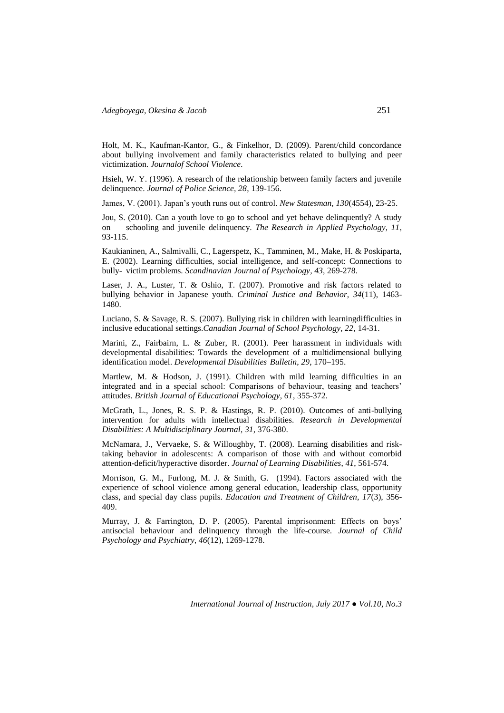Holt, M. K., Kaufman-Kantor, G., & Finkelhor, D. (2009). Parent/child concordance about bullying involvement and family characteristics related to bullying and peer victimization. *Journalof School Violence.*

Hsieh, W. Y. (1996). A research of the relationship between family facters and juvenile delinquence. *Journal of Police Science, 28*, 139-156.

James, V. (2001). Japan's youth runs out of control. *New Statesman, 130*(4554), 23-25.

Jou, S. (2010). Can a youth love to go to school and yet behave delinquently? A study on schooling and juvenile delinquency. *The Research in Applied Psychology, 11*, 93-115.

Kaukianinen, A., Salmivalli, C., Lagerspetz, K., Tamminen, M., Make, H. & Poskiparta, E. (2002). Learning difficulties, social intelligence, and self-concept: Connections to bully- victim problems. *Scandinavian Journal of Psychology, 43,* 269-278.

Laser, J. A., Luster, T. & Oshio, T. (2007). Promotive and risk factors related to bullying behavior in Japanese youth. *Criminal Justice and Behavior, 34*(11), 1463- 1480.

Luciano, S. & Savage, R. S. (2007). Bullying risk in children with learningdifficulties in inclusive educational settings.*Canadian Journal of School Psychology, 22*, 14-31.

Marini, Z., Fairbairn, L. & Zuber, R. (2001). Peer harassment in individuals with developmental disabilities: Towards the development of a multidimensional bullying identification model. *Developmental Disabilities Bulletin*, *29*, 170–195.

Martlew, M. & Hodson, J. (1991). Children with mild learning difficulties in an integrated and in a special school: Comparisons of behaviour, teasing and teachers' attitudes. *British Journal of Educational Psychology, 61*, 355-372.

McGrath, L., Jones, R. S. P. & Hastings, R. P. (2010). Outcomes of anti-bullying intervention for adults with intellectual disabilities. *Research in Developmental Disabilities: A Multidisciplinary Journal, 31,* 376-380.

McNamara, J., Vervaeke, S. & Willoughby, T. (2008). Learning disabilities and risktaking behavior in adolescents: A comparison of those with and without comorbid attention-deficit/hyperactive disorder. *Journal of Learning Disabilities*, *41*, 561-574.

Morrison, G. M., Furlong, M. J. & Smith, G. (1994). Factors associated with the experience of school violence among general education, leadership class, opportunity class, and special day class pupils. *Education and Treatment of Children, 17*(3), 356- 409.

Murray, J. & Farrington, D. P. (2005). Parental imprisonment: Effects on boys' antisocial behaviour and delinquency through the life-course. *Journal of Child Psychology and Psychiatry, 46*(12), 1269-1278.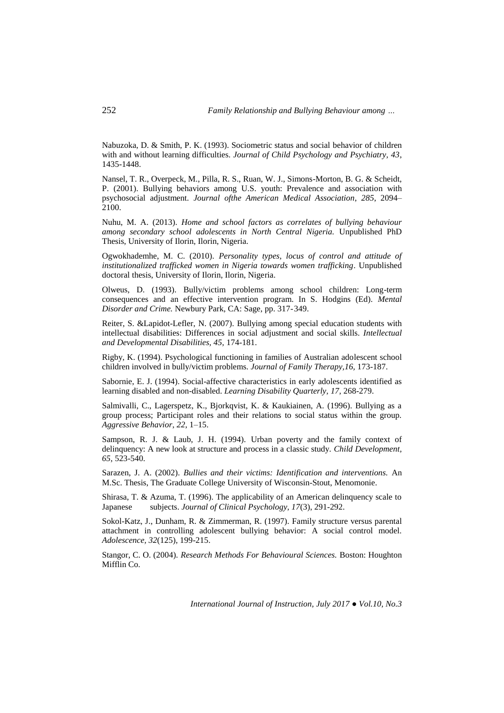Nabuzoka, D. & Smith, P. K. (1993). Sociometric status and social behavior of children with and without learning difficulties. *Journal of Child Psychology and Psychiatry, 43*, 1435-1448.

Nansel, T. R., Overpeck, M., Pilla, R. S., Ruan, W. J., Simons-Morton, B. G. & Scheidt, P. (2001). Bullying behaviors among U.S. youth: Prevalence and association with psychosocial adjustment. *Journal ofthe American Medical Association*, *285*, 2094– 2100.

Nuhu, M. A. (2013). *Home and school factors as correlates of bullying behaviour among secondary school adolescents in North Central Nigeria.* Unpublished PhD Thesis, University of Ilorin, Ilorin, Nigeria.

Ogwokhademhe, M. C. (2010). *Personality types, locus of control and attitude of institutionalized trafficked women in Nigeria towards women trafficking*. Unpublished doctoral thesis, University of Ilorin, Ilorin, Nigeria.

Olweus, D. (1993). Bully/victim problems among school children: Long-term consequences and an effective intervention program. In S. Hodgins (Ed). *Mental Disorder and Crime.* Newbury Park, CA: Sage, pp. 317-349.

Reiter, S. &Lapidot-Lefler, N. (2007). Bullying among special education students with intellectual disabilities: Differences in social adjustment and social skills. *Intellectual and Developmental Disabilities, 45,* 174-181.

Rigby, K. (1994). Psychological functioning in families of Australian adolescent school children involved in bully/victim problems. *Journal of Family Therapy,16,* 173-187.

Sabornie, E. J. (1994). Social-affective characteristics in early adolescents identified as learning disabled and non-disabled. *Learning Disability Quarterly, 17,* 268-279.

Salmivalli, C., Lagerspetz, K., Bjorkqvist, K. & Kaukiainen, A. (1996). Bullying as a group process; Participant roles and their relations to social status within the group. *Aggressive Behavior*, *22*, 1–15.

Sampson, R. J. & Laub, J. H. (1994). Urban poverty and the family context of delinquency: A new look at structure and process in a classic study. *Child Development, 65*, 523-540.

Sarazen, J. A. (2002). *Bullies and their victims: Identification and interventions.* An M.Sc. Thesis, The Graduate College University of Wisconsin-Stout, Menomonie.

Shirasa, T. & Azuma, T. (1996). The applicability of an American delinquency scale to Japanese subjects. *Journal of Clinical Psychology, 17*(3), 291-292.

Sokol-Katz, J., Dunham, R. & Zimmerman, R. (1997). Family structure versus parental attachment in controlling adolescent bullying behavior: A social control model. *Adolescence, 32*(125), 199-215.

Stangor, C. O. (2004). *Research Methods For Behavioural Sciences.* Boston: Houghton Mifflin Co.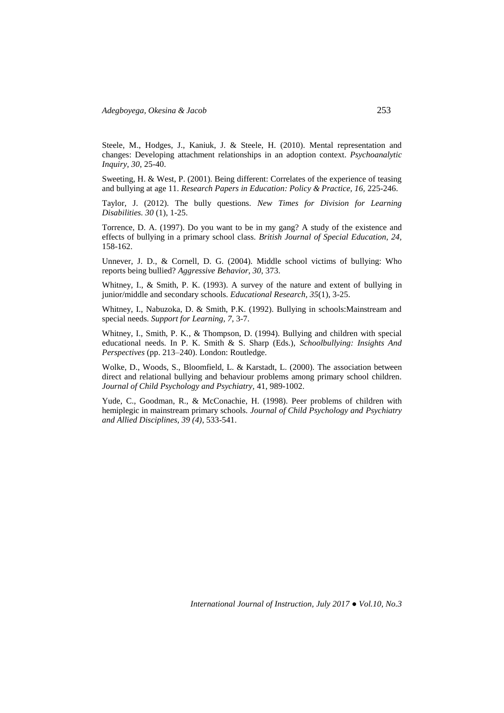Steele, M., Hodges, J., Kaniuk, J. & Steele, H. (2010). Mental representation and changes: Developing attachment relationships in an adoption context. *Psychoanalytic Inquiry, 30*, 25-40.

Sweeting, H. & West, P. (2001). Being different: Correlates of the experience of teasing and bullying at age 11. *Research Papers in Education: Policy & Practice, 16, 225-246.* 

Taylor, J. (2012). The bully questions. *New Times for Division for Learning Disabilities. 30* (1), 1-25.

Torrence, D. A. (1997). Do you want to be in my gang? A study of the existence and effects of bullying in a primary school class. *British Journal of Special Education, 24,* 158-162.

Unnever, J. D., & Cornell, D. G. (2004). Middle school victims of bullying: Who reports being bullied? *Aggressive Behavior, 30*, 373.

Whitney, I., & Smith, P. K. (1993). A survey of the nature and extent of bullying in junior/middle and secondary schools. *Educational Research, 35*(1), 3-25.

Whitney, I., Nabuzoka, D. & Smith, P.K. (1992). Bullying in schools:Mainstream and special needs. *Support for Learning, 7*, 3-7.

Whitney, I., Smith, P. K., & Thompson, D. (1994). Bullying and children with special educational needs. In P. K. Smith & S. Sharp (Eds.), *Schoolbullying: Insights And Perspectives* (pp. 213–240). London: Routledge.

Wolke, D., Woods, S., Bloomfield, L. & Karstadt, L. (2000). The association between direct and relational bullying and behaviour problems among primary school children. *Journal of Child Psychology and Psychiatry,* 41, 989-1002.

Yude, C., Goodman, R., & McConachie, H. (1998). Peer problems of children with hemiplegic in mainstream primary schools. *Journal of Child Psychology and Psychiatry and Allied Disciplines, 39 (4)*, 533-541.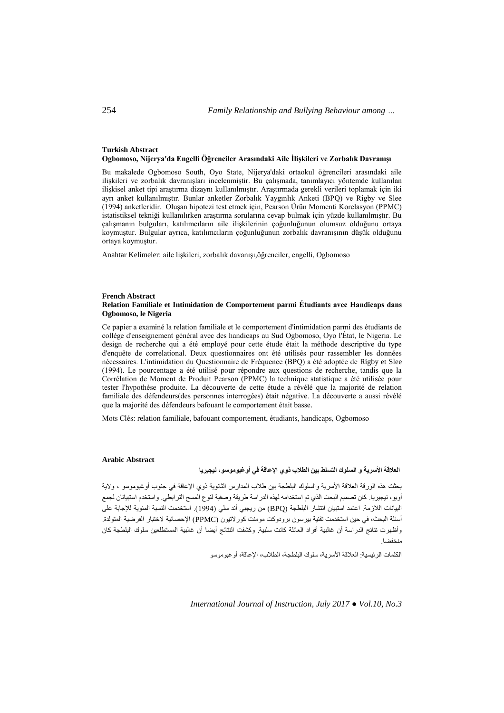## **Turkish Abstract Ogbomoso, Nijerya'da Engelli Öğrenciler Arasındaki Aile İlişkileri ve Zorbalık Davranışı**

Bu makalede Ogbomoso South, Oyo State, Nijerya'daki ortaokul öğrencileri arasındaki aile ilişkileri ve zorbalık davranışları incelenmiştir. Bu çalışmada, tanımlayıcı yöntemde kullanılan ilişkisel anket tipi araştırma dizaynı kullanılmıştır. Araştırmada gerekli verileri toplamak için iki ayrı anket kullanılmıştır. Bunlar anketler Zorbalık Yaygınlık Anketi (BPQ) ve Rigby ve Slee (1994) anketleridir. Oluşan hipotezi test etmek için, Pearson Ürün Momenti Korelasyon (PPMC) istatistiksel tekniği kullanılırken araştırma sorularına cevap bulmak için yüzde kullanılmıştır. Bu çalışmanın bulguları, katılımcıların aile ilişkilerinin çoğunluğunun olumsuz olduğunu ortaya koymuştur. Bulgular ayrıca, katılımcıların çoğunluğunun zorbalık davranışının düşük olduğunu ortaya koymuştur.

Anahtar Kelimeler: aile lişkileri, zorbalık davanışı,öğrenciler, engelli, Ogbomoso

#### **French Abstract Relation Familiale et Intimidation de Comportement parmi Étudiants avec Handicaps dans Ogbomoso, le Nigeria**

Ce papier a examiné la relation familiale et le comportement d'intimidation parmi des étudiants de collège d'enseignement général avec des handicaps au Sud Ogbomoso, Oyo l'État, le Nigeria. Le design de recherche qui a été employé pour cette étude était la méthode descriptive du type d'enquête de correlational. Deux questionnaires ont été utilisés pour rassembler les données nécessaires. L'intimidation du Questionnaire de Fréquence (BPQ) a été adoptée de Rigby et Slee (1994). Le pourcentage a été utilisé pour répondre aux questions de recherche, tandis que la Corrélation de Moment de Produit Pearson (PPMC) la technique statistique a été utilisée pour tester l'hypothèse produite. La découverte de cette étude a révélé que la majorité de relation familiale des défendeurs(des personnes interrogées) était négative. La découverte a aussi révélé que la majorité des défendeurs bafouant le comportement était basse.

Mots Clés: relation familiale, bafouant comportement, étudiants, handicaps, Ogbomoso

# **Arabic Abstract**

# **العالقة األسرية و السلوك التسلط بين الطالب ذوي اإلعاقة في أوغبوموسو، نيجيريا**

بحثت هذه الورقة العالقة األسرية والسلوك البلطجة بين طالب المدارس الثانوية ذوي اإلعاقة في جنوب أوغبوموسو ، والية أويو، نيجيريا. كان تصميم البحث الذي تم استخدامه لهذه الدراسة طريقة وصفية لنوع المسح الترابطي. واستخدم استبيانان لجمع البيانات اللازمة. اعتمد استبيان انتشار البلطجة (BPQ) من ريجبي أند سلي (1994). استخدمت النسبة المئوية للإجابة على أسئلة البحث، في حين استخدمت تقنية بيرسون برودوكت مومنت كورالتيون )PPMC )اإلحصائية الختبار الفرضية المتولدة. وأظهرت نتائج الدراسة أن غالبية أفراد العائلة كانت سلبية. وكشفت النتائج أيضا أن غالبية المستطلعين سلوك البلطجة كان منخفضا.

الكلمات الرئيسية: العلاقة الأسرية، سلوك البلطجة، الطلاب، الإعاقة، أوغبوموسو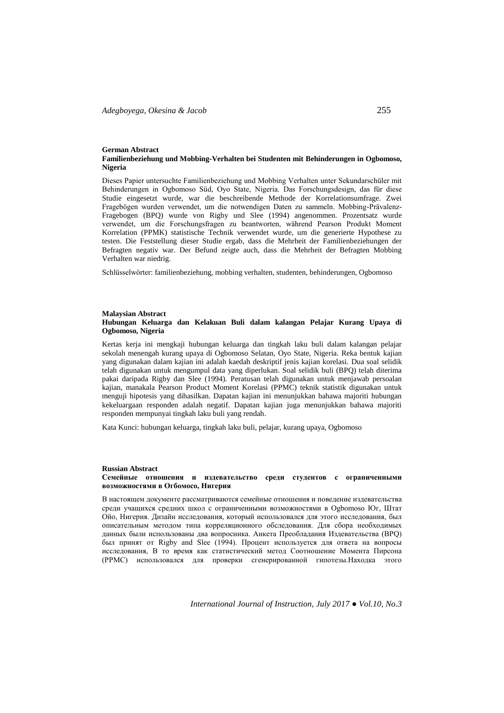#### **German Abstract Familienbeziehung und Mobbing-Verhalten bei Studenten mit Behinderungen in Ogbomoso, Nigeria**

Dieses Papier untersuchte Familienbeziehung und Mobbing Verhalten unter Sekundarschüler mit Behinderungen in Ogbomoso Süd, Oyo State, Nigeria. Das Forschungsdesign, das für diese Studie eingesetzt wurde, war die beschreibende Methode der Korrelationsumfrage. Zwei Fragebögen wurden verwendet, um die notwendigen Daten zu sammeln. Mobbing-Prävalenz-Fragebogen (BPQ) wurde von Rigby und Slee (1994) angenommen. Prozentsatz wurde verwendet, um die Forschungsfragen zu beantworten, während Pearson Produkt Moment Korrelation (PPMK) statistische Technik verwendet wurde, um die generierte Hypothese zu testen. Die Feststellung dieser Studie ergab, dass die Mehrheit der Familienbeziehungen der Befragten negativ war. Der Befund zeigte auch, dass die Mehrheit der Befragten Mobbing Verhalten war niedrig.

Schlüsselwörter: familienbeziehung, mobbing verhalten, studenten, behinderungen, Ogbomoso

#### **Malaysian Abstract Hubungan Keluarga dan Kelakuan Buli dalam kalangan Pelajar Kurang Upaya di Ogbomoso, Nigeria**

Kertas kerja ini mengkaji hubungan keluarga dan tingkah laku buli dalam kalangan pelajar sekolah menengah kurang upaya di Ogbomoso Selatan, Oyo State, Nigeria. Reka bentuk kajian yang digunakan dalam kajian ini adalah kaedah deskriptif jenis kajian korelasi. Dua soal selidik telah digunakan untuk mengumpul data yang diperlukan. Soal selidik buli (BPQ) telah diterima pakai daripada Rigby dan Slee (1994). Peratusan telah digunakan untuk menjawab persoalan kajian, manakala Pearson Product Moment Korelasi (PPMC) teknik statistik digunakan untuk menguji hipotesis yang dihasilkan. Dapatan kajian ini menunjukkan bahawa majoriti hubungan kekeluargaan responden adalah negatif. Dapatan kajian juga menunjukkan bahawa majoriti responden mempunyai tingkah laku buli yang rendah.

Kata Kunci: hubungan keluarga, tingkah laku buli, pelajar, kurang upaya, Ogbomoso

#### **Russian Abstract**

#### **Семейные отношения и издевательство среди студентов с ограниченными возможностями в Огбомосо, Нигерия**

В настоящем документе рассматриваются семейные отношения и поведение издевательства среди учащихся средних школ с ограниченными возможностями в Ogbomoso Юг, Штат Ойо, Нигерия. Дизайн исследования, который использовался для этого исследования, был описательным методом типа корреляционного обследования. Для сбора необходимых данных были использованы два вопросника. Анкета Преобладания Издевательства (BPQ) был принят от Rigby and Slee (1994). Процент используется для ответа на вопросы исследования, В то время как статистический метод Соотношение Момента Пирсона (PPMC) использовался для проверки сгенерированной гипотезы.Находка этого